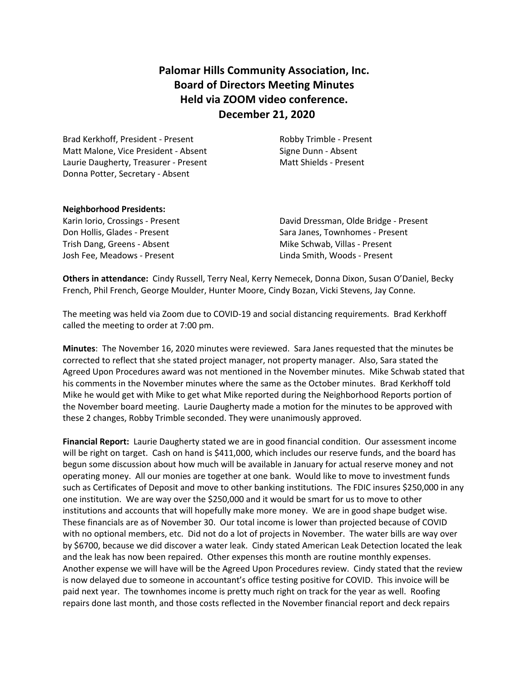# **Palomar Hills Community Association, Inc. Board of Directors Meeting Minutes Held via ZOOM video conference. December 21, 2020**

Brad Kerkhoff, President - Present Robby Trimble - Present Matt Malone, Vice President - Absent Signe Dunn - Absent Laurie Daugherty, Treasurer - Present Matt Shields - Present Donna Potter, Secretary - Absent

#### **Neighborhood Presidents:**

Trish Dang, Greens - Absent Mike Schwab, Villas - Present Josh Fee, Meadows - Present Linda Smith, Woods - Present

Karin Iorio, Crossings - Present David Dressman, Olde Bridge - Present Don Hollis, Glades - Present Sara Janes, Townhomes - Present

**Others in attendance:** Cindy Russell, Terry Neal, Kerry Nemecek, Donna Dixon, Susan O'Daniel, Becky French, Phil French, George Moulder, Hunter Moore, Cindy Bozan, Vicki Stevens, Jay Conne.

The meeting was held via Zoom due to COVID-19 and social distancing requirements. Brad Kerkhoff called the meeting to order at 7:00 pm.

**Minutes**: The November 16, 2020 minutes were reviewed. Sara Janes requested that the minutes be corrected to reflect that she stated project manager, not property manager. Also, Sara stated the Agreed Upon Procedures award was not mentioned in the November minutes. Mike Schwab stated that his comments in the November minutes where the same as the October minutes. Brad Kerkhoff told Mike he would get with Mike to get what Mike reported during the Neighborhood Reports portion of the November board meeting. Laurie Daugherty made a motion for the minutes to be approved with these 2 changes, Robby Trimble seconded. They were unanimously approved.

**Financial Report:** Laurie Daugherty stated we are in good financial condition. Our assessment income will be right on target. Cash on hand is \$411,000, which includes our reserve funds, and the board has begun some discussion about how much will be available in January for actual reserve money and not operating money. All our monies are together at one bank. Would like to move to investment funds such as Certificates of Deposit and move to other banking institutions. The FDIC insures \$250,000 in any one institution. We are way over the \$250,000 and it would be smart for us to move to other institutions and accounts that will hopefully make more money. We are in good shape budget wise. These financials are as of November 30. Our total income is lower than projected because of COVID with no optional members, etc. Did not do a lot of projects in November. The water bills are way over by \$6700, because we did discover a water leak. Cindy stated American Leak Detection located the leak and the leak has now been repaired. Other expenses this month are routine monthly expenses. Another expense we will have will be the Agreed Upon Procedures review. Cindy stated that the review is now delayed due to someone in accountant's office testing positive for COVID. This invoice will be paid next year. The townhomes income is pretty much right on track for the year as well. Roofing repairs done last month, and those costs reflected in the November financial report and deck repairs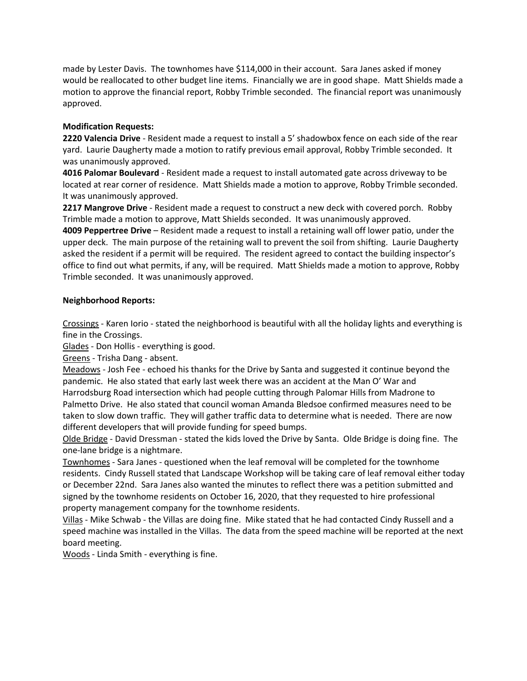made by Lester Davis. The townhomes have \$114,000 in their account. Sara Janes asked if money would be reallocated to other budget line items. Financially we are in good shape. Matt Shields made a motion to approve the financial report, Robby Trimble seconded. The financial report was unanimously approved.

# **Modification Requests:**

**2220 Valencia Drive** - Resident made a request to install a 5' shadowbox fence on each side of the rear yard. Laurie Daugherty made a motion to ratify previous email approval, Robby Trimble seconded. It was unanimously approved.

**4016 Palomar Boulevard** - Resident made a request to install automated gate across driveway to be located at rear corner of residence. Matt Shields made a motion to approve, Robby Trimble seconded. It was unanimously approved.

**2217 Mangrove Drive** - Resident made a request to construct a new deck with covered porch. Robby Trimble made a motion to approve, Matt Shields seconded. It was unanimously approved.

**4009 Peppertree Drive** – Resident made a request to install a retaining wall off lower patio, under the upper deck. The main purpose of the retaining wall to prevent the soil from shifting. Laurie Daugherty asked the resident if a permit will be required. The resident agreed to contact the building inspector's office to find out what permits, if any, will be required. Matt Shields made a motion to approve, Robby Trimble seconded. It was unanimously approved.

# **Neighborhood Reports:**

Crossings - Karen Iorio - stated the neighborhood is beautiful with all the holiday lights and everything is fine in the Crossings.

Glades - Don Hollis - everything is good.

Greens - Trisha Dang - absent.

Meadows - Josh Fee - echoed his thanks for the Drive by Santa and suggested it continue beyond the pandemic. He also stated that early last week there was an accident at the Man O' War and Harrodsburg Road intersection which had people cutting through Palomar Hills from Madrone to Palmetto Drive. He also stated that council woman Amanda Bledsoe confirmed measures need to be taken to slow down traffic. They will gather traffic data to determine what is needed. There are now different developers that will provide funding for speed bumps.

Olde Bridge - David Dressman - stated the kids loved the Drive by Santa. Olde Bridge is doing fine. The one-lane bridge is a nightmare.

Townhomes - Sara Janes - questioned when the leaf removal will be completed for the townhome residents. Cindy Russell stated that Landscape Workshop will be taking care of leaf removal either today or December 22nd. Sara Janes also wanted the minutes to reflect there was a petition submitted and signed by the townhome residents on October 16, 2020, that they requested to hire professional property management company for the townhome residents.

Villas - Mike Schwab - the Villas are doing fine. Mike stated that he had contacted Cindy Russell and a speed machine was installed in the Villas. The data from the speed machine will be reported at the next board meeting.

Woods - Linda Smith - everything is fine.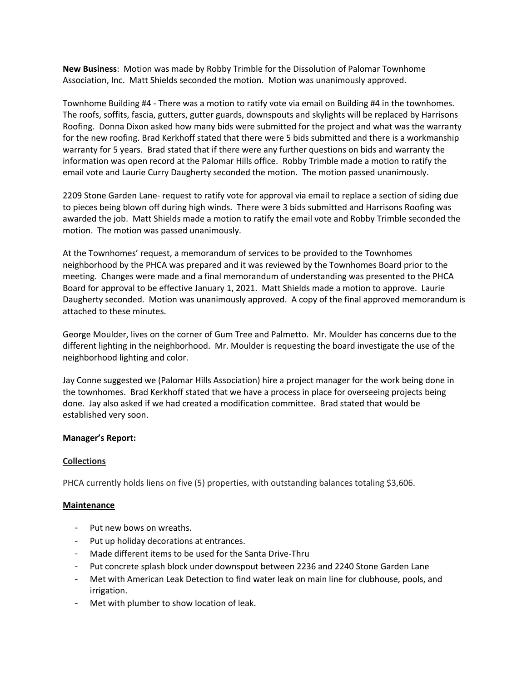**New Business**: Motion was made by Robby Trimble for the Dissolution of Palomar Townhome Association, Inc. Matt Shields seconded the motion. Motion was unanimously approved.

Townhome Building #4 - There was a motion to ratify vote via email on Building #4 in the townhomes. The roofs, soffits, fascia, gutters, gutter guards, downspouts and skylights will be replaced by Harrisons Roofing. Donna Dixon asked how many bids were submitted for the project and what was the warranty for the new roofing. Brad Kerkhoff stated that there were 5 bids submitted and there is a workmanship warranty for 5 years. Brad stated that if there were any further questions on bids and warranty the information was open record at the Palomar Hills office. Robby Trimble made a motion to ratify the email vote and Laurie Curry Daugherty seconded the motion. The motion passed unanimously.

2209 Stone Garden Lane- request to ratify vote for approval via email to replace a section of siding due to pieces being blown off during high winds. There were 3 bids submitted and Harrisons Roofing was awarded the job. Matt Shields made a motion to ratify the email vote and Robby Trimble seconded the motion. The motion was passed unanimously.

At the Townhomes' request, a memorandum of services to be provided to the Townhomes neighborhood by the PHCA was prepared and it was reviewed by the Townhomes Board prior to the meeting. Changes were made and a final memorandum of understanding was presented to the PHCA Board for approval to be effective January 1, 2021. Matt Shields made a motion to approve. Laurie Daugherty seconded. Motion was unanimously approved. A copy of the final approved memorandum is attached to these minutes.

George Moulder, lives on the corner of Gum Tree and Palmetto. Mr. Moulder has concerns due to the different lighting in the neighborhood. Mr. Moulder is requesting the board investigate the use of the neighborhood lighting and color.

Jay Conne suggested we (Palomar Hills Association) hire a project manager for the work being done in the townhomes. Brad Kerkhoff stated that we have a process in place for overseeing projects being done. Jay also asked if we had created a modification committee. Brad stated that would be established very soon.

### **Manager's Report:**

### **Collections**

PHCA currently holds liens on five (5) properties, with outstanding balances totaling \$3,606.

#### **Maintenance**

- Put new bows on wreaths.
- Put up holiday decorations at entrances.
- Made different items to be used for the Santa Drive-Thru
- Put concrete splash block under downspout between 2236 and 2240 Stone Garden Lane
- Met with American Leak Detection to find water leak on main line for clubhouse, pools, and irrigation.
- Met with plumber to show location of leak.